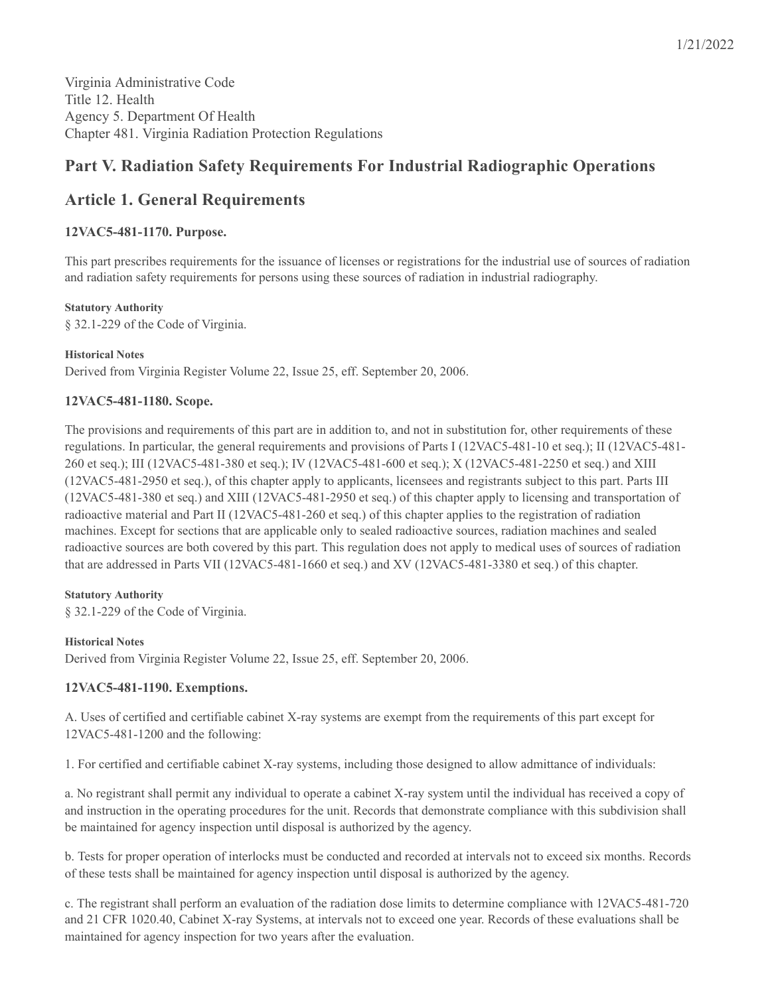## **Part V. Radiation Safety Requirements For Industrial Radiographic Operations**

## **Article 1. General Requirements**

## **12VAC5-481-1170. Purpose.**

This part prescribes requirements for the issuance of licenses or registrations for the industrial use of sources of radiation and radiation safety requirements for persons using these sources of radiation in industrial radiography.

#### **Statutory Authority**

§ 32.1-229 of the Code of Virginia.

#### **Historical Notes**

Derived from Virginia Register Volume 22, Issue 25, eff. September 20, 2006.

## **12VAC5-481-1180. Scope.**

The provisions and requirements of this part are in addition to, and not in substitution for, other requirements of these regulations. In particular, the general requirements and provisions of Parts I (12VAC5-481-10 et seq.); II (12VAC5-481- 260 et seq.); III (12VAC5-481-380 et seq.); IV (12VAC5-481-600 et seq.); X (12VAC5-481-2250 et seq.) and XIII (12VAC5-481-2950 et seq.), of this chapter apply to applicants, licensees and registrants subject to this part. Parts III (12VAC5-481-380 et seq.) and XIII (12VAC5-481-2950 et seq.) of this chapter apply to licensing and transportation of radioactive material and Part II (12VAC5-481-260 et seq.) of this chapter applies to the registration of radiation machines. Except for sections that are applicable only to sealed radioactive sources, radiation machines and sealed radioactive sources are both covered by this part. This regulation does not apply to medical uses of sources of radiation that are addressed in Parts VII (12VAC5-481-1660 et seq.) and XV (12VAC5-481-3380 et seq.) of this chapter.

#### **Statutory Authority**

§ 32.1-229 of the Code of Virginia.

#### **Historical Notes**

Derived from Virginia Register Volume 22, Issue 25, eff. September 20, 2006.

## **12VAC5-481-1190. Exemptions.**

A. Uses of certified and certifiable cabinet X-ray systems are exempt from the requirements of this part except for 12VAC5-481-1200 and the following:

1. For certified and certifiable cabinet X-ray systems, including those designed to allow admittance of individuals:

a. No registrant shall permit any individual to operate a cabinet X-ray system until the individual has received a copy of and instruction in the operating procedures for the unit. Records that demonstrate compliance with this subdivision shall be maintained for agency inspection until disposal is authorized by the agency.

b. Tests for proper operation of interlocks must be conducted and recorded at intervals not to exceed six months. Records of these tests shall be maintained for agency inspection until disposal is authorized by the agency.

c. The registrant shall perform an evaluation of the radiation dose limits to determine compliance with 12VAC5-481-720 and 21 CFR 1020.40, Cabinet X-ray Systems, at intervals not to exceed one year. Records of these evaluations shall be maintained for agency inspection for two years after the evaluation.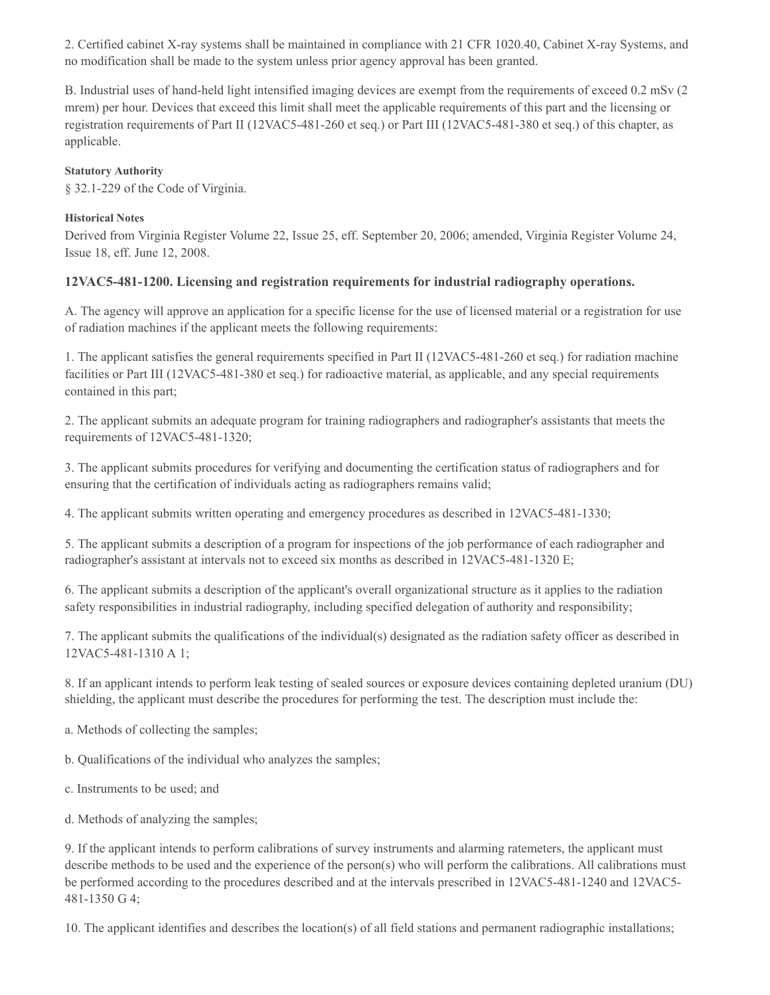2. Certified cabinet X-ray systems shall be maintained in compliance with 21 CFR 1020.40, Cabinet X-ray Systems, and no modification shall be made to the system unless prior agency approval has been granted.

B. Industrial uses of hand-held light intensified imaging devices are exempt from the requirements of exceed 0.2 mSv (2 mrem) per hour. Devices that exceed this limit shall meet the applicable requirements of this part and the licensing or registration requirements of Part II (12VAC5-481-260 et seq.) or Part III (12VAC5-481-380 et seq.) of this chapter, as applicable.

### **Statutory Authority**

§ 32.1-229 of the Code of Virginia.

### **Historical Notes**

Derived from Virginia Register Volume 22, Issue 25, eff. September 20, 2006; amended, Virginia Register Volume 24, Issue 18, eff. June 12, 2008.

#### **12VAC5-481-1200. Licensing and registration requirements for industrial radiography operations.**

A. The agency will approve an application for a specific license for the use of licensed material or a registration for use of radiation machines if the applicant meets the following requirements:

1. The applicant satisfies the general requirements specified in Part II (12VAC5-481-260 et seq.) for radiation machine facilities or Part III (12VAC5-481-380 et seq.) for radioactive material, as applicable, and any special requirements contained in this part;

2. The applicant submits an adequate program for training radiographers and radiographer's assistants that meets the requirements of 12VAC5-481-1320;

3. The applicant submits procedures for verifying and documenting the certification status of radiographers and for ensuring that the certification of individuals acting as radiographers remains valid;

4. The applicant submits written operating and emergency procedures as described in 12VAC5-481-1330;

5. The applicant submits a description of a program for inspections of the job performance of each radiographer and radiographer's assistant at intervals not to exceed six months as described in 12VAC5-481-1320 E;

6. The applicant submits a description of the applicant's overall organizational structure as it applies to the radiation safety responsibilities in industrial radiography, including specified delegation of authority and responsibility;

7. The applicant submits the qualifications of the individual(s) designated as the radiation safety officer as described in 12VAC5-481-1310 A 1;

8. If an applicant intends to perform leak testing of sealed sources or exposure devices containing depleted uranium (DU) shielding, the applicant must describe the procedures for performing the test. The description must include the:

a. Methods of collecting the samples;

b. Qualifications of the individual who analyzes the samples;

c. Instruments to be used; and

d. Methods of analyzing the samples;

9. If the applicant intends to perform calibrations of survey instruments and alarming ratemeters, the applicant must describe methods to be used and the experience of the person(s) who will perform the calibrations. All calibrations must be performed according to the procedures described and at the intervals prescribed in 12VAC5-481-1240 and 12VAC5- 481-1350 G 4;

10. The applicant identifies and describes the location(s) of all field stations and permanent radiographic installations;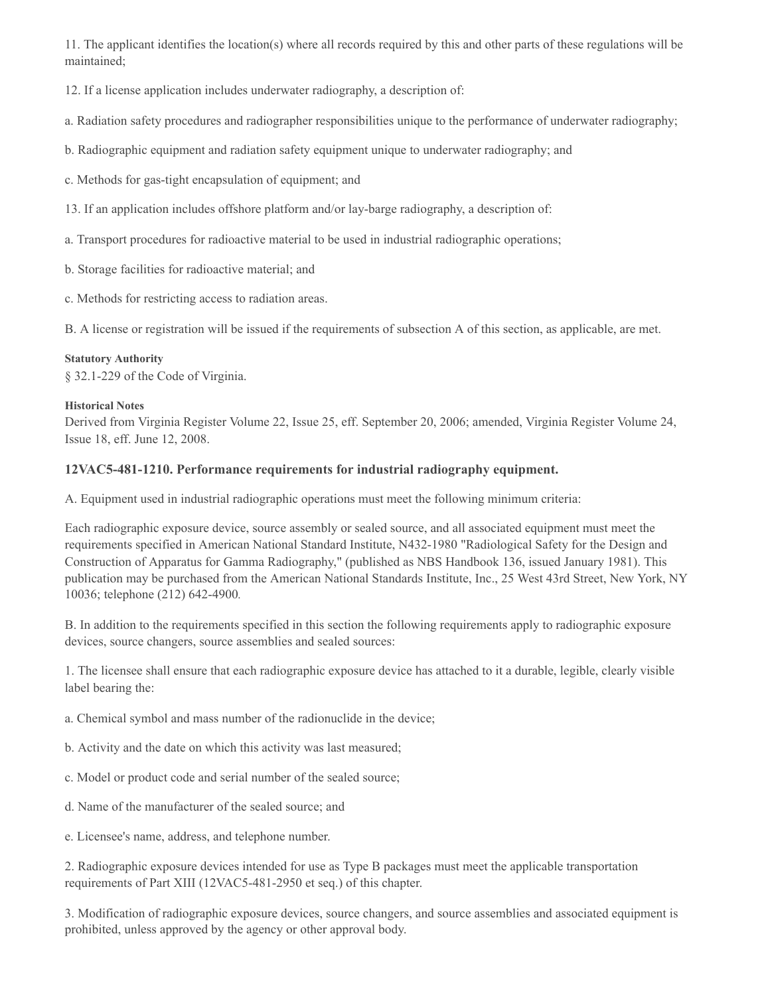11. The applicant identifies the location(s) where all records required by this and other parts of these regulations will be maintained;

12. If a license application includes underwater radiography, a description of:

a. Radiation safety procedures and radiographer responsibilities unique to the performance of underwater radiography;

- b. Radiographic equipment and radiation safety equipment unique to underwater radiography; and
- c. Methods for gas-tight encapsulation of equipment; and
- 13. If an application includes offshore platform and/or lay-barge radiography, a description of:
- a. Transport procedures for radioactive material to be used in industrial radiographic operations;
- b. Storage facilities for radioactive material; and
- c. Methods for restricting access to radiation areas.

B. A license or registration will be issued if the requirements of subsection A of this section, as applicable, are met.

#### **Statutory Authority**

§ 32.1-229 of the Code of Virginia.

#### **Historical Notes**

Derived from Virginia Register Volume 22, Issue 25, eff. September 20, 2006; amended, Virginia Register Volume 24, Issue 18, eff. June 12, 2008.

## **12VAC5-481-1210. Performance requirements for industrial radiography equipment.**

A. Equipment used in industrial radiographic operations must meet the following minimum criteria:

Each radiographic exposure device, source assembly or sealed source, and all associated equipment must meet the requirements specified in American National Standard Institute, N432‑1980 "Radiological Safety for the Design and Construction of Apparatus for Gamma Radiography," (published as NBS Handbook 136, issued January 1981). This publication may be purchased from the American National Standards Institute, Inc., 25 West 43rd Street, New York, NY 10036; telephone (212) 642‑4900*.*

B. In addition to the requirements specified in this section the following requirements apply to radiographic exposure devices, source changers, source assemblies and sealed sources:

1. The licensee shall ensure that each radiographic exposure device has attached to it a durable, legible, clearly visible label bearing the:

- a. Chemical symbol and mass number of the radionuclide in the device;
- b. Activity and the date on which this activity was last measured;
- c. Model or product code and serial number of the sealed source;
- d. Name of the manufacturer of the sealed source; and
- e. Licensee's name, address, and telephone number.

2. Radiographic exposure devices intended for use as Type B packages must meet the applicable transportation requirements of Part XIII (12VAC5-481-2950 et seq.) of this chapter.

3. Modification of radiographic exposure devices, source changers, and source assemblies and associated equipment is prohibited, unless approved by the agency or other approval body.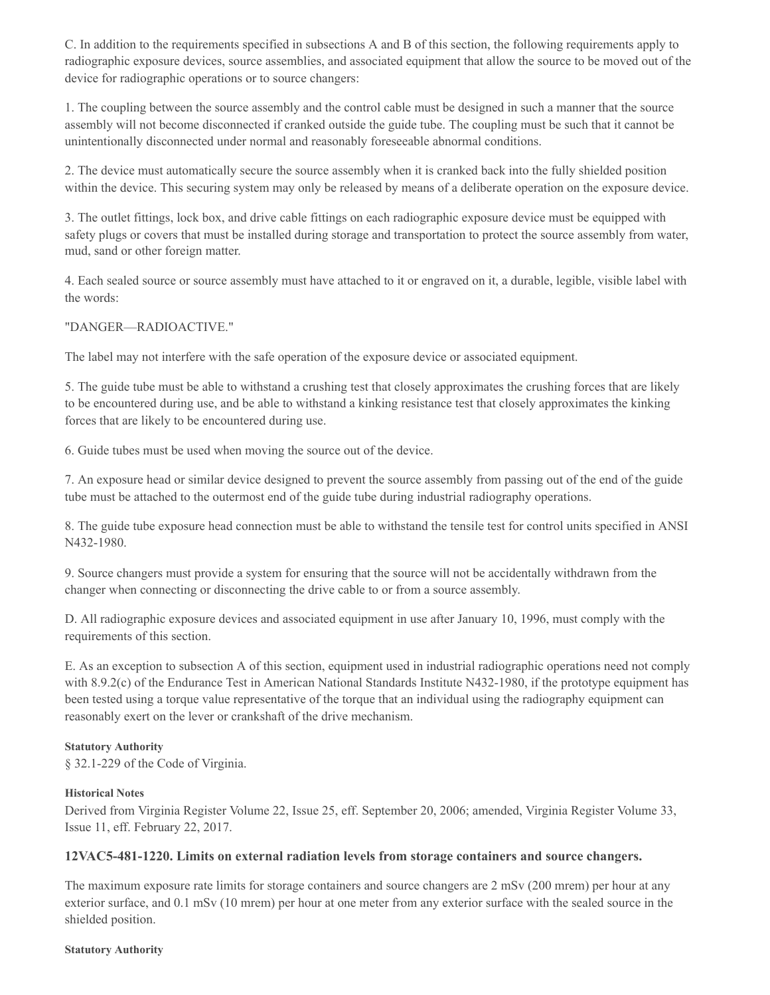C. In addition to the requirements specified in subsections A and B of this section, the following requirements apply to radiographic exposure devices, source assemblies, and associated equipment that allow the source to be moved out of the device for radiographic operations or to source changers:

1. The coupling between the source assembly and the control cable must be designed in such a manner that the source assembly will not become disconnected if cranked outside the guide tube. The coupling must be such that it cannot be unintentionally disconnected under normal and reasonably foreseeable abnormal conditions.

2. The device must automatically secure the source assembly when it is cranked back into the fully shielded position within the device. This securing system may only be released by means of a deliberate operation on the exposure device.

3. The outlet fittings, lock box, and drive cable fittings on each radiographic exposure device must be equipped with safety plugs or covers that must be installed during storage and transportation to protect the source assembly from water, mud, sand or other foreign matter.

4. Each sealed source or source assembly must have attached to it or engraved on it, a durable, legible, visible label with the words:

"DANGER—RADIOACTIVE."

The label may not interfere with the safe operation of the exposure device or associated equipment.

5. The guide tube must be able to withstand a crushing test that closely approximates the crushing forces that are likely to be encountered during use, and be able to withstand a kinking resistance test that closely approximates the kinking forces that are likely to be encountered during use.

6. Guide tubes must be used when moving the source out of the device.

7. An exposure head or similar device designed to prevent the source assembly from passing out of the end of the guide tube must be attached to the outermost end of the guide tube during industrial radiography operations.

8. The guide tube exposure head connection must be able to withstand the tensile test for control units specified in ANSI N432‑1980.

9. Source changers must provide a system for ensuring that the source will not be accidentally withdrawn from the changer when connecting or disconnecting the drive cable to or from a source assembly.

D. All radiographic exposure devices and associated equipment in use after January 10, 1996, must comply with the requirements of this section.

E. As an exception to subsection A of this section, equipment used in industrial radiographic operations need not comply with 8.9.2(c) of the Endurance Test in American National Standards Institute N432-1980, if the prototype equipment has been tested using a torque value representative of the torque that an individual using the radiography equipment can reasonably exert on the lever or crankshaft of the drive mechanism.

#### **Statutory Authority**

§ 32.1-229 of the Code of Virginia.

#### **Historical Notes**

Derived from Virginia Register Volume 22, Issue 25, eff. September 20, 2006; amended, Virginia Register Volume 33, Issue 11, eff. February 22, 2017.

## **12VAC5-481-1220. Limits on external radiation levels from storage containers and source changers.**

The maximum exposure rate limits for storage containers and source changers are 2 mSv (200 mrem) per hour at any exterior surface, and 0.1 mSv (10 mrem) per hour at one meter from any exterior surface with the sealed source in the shielded position.

#### **Statutory Authority**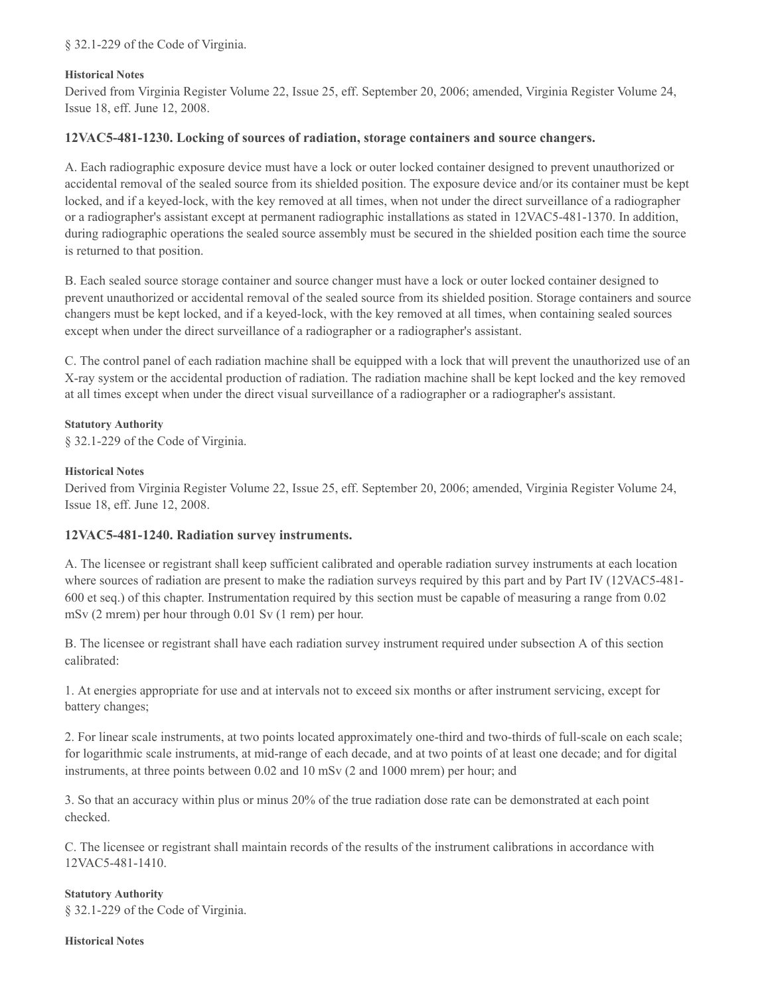§ 32.1-229 of the Code of Virginia.

### **Historical Notes**

Derived from Virginia Register Volume 22, Issue 25, eff. September 20, 2006; amended, Virginia Register Volume 24, Issue 18, eff. June 12, 2008.

## **12VAC5-481-1230. Locking of sources of radiation, storage containers and source changers.**

A. Each radiographic exposure device must have a lock or outer locked container designed to prevent unauthorized or accidental removal of the sealed source from its shielded position. The exposure device and/or its container must be kept locked, and if a keyed-lock, with the key removed at all times, when not under the direct surveillance of a radiographer or a radiographer's assistant except at permanent radiographic installations as stated in 12VAC5-481-1370. In addition, during radiographic operations the sealed source assembly must be secured in the shielded position each time the source is returned to that position.

B. Each sealed source storage container and source changer must have a lock or outer locked container designed to prevent unauthorized or accidental removal of the sealed source from its shielded position. Storage containers and source changers must be kept locked, and if a keyed-lock, with the key removed at all times, when containing sealed sources except when under the direct surveillance of a radiographer or a radiographer's assistant.

C. The control panel of each radiation machine shall be equipped with a lock that will prevent the unauthorized use of an X-ray system or the accidental production of radiation. The radiation machine shall be kept locked and the key removed at all times except when under the direct visual surveillance of a radiographer or a radiographer's assistant.

#### **Statutory Authority**

§ 32.1-229 of the Code of Virginia.

#### **Historical Notes**

Derived from Virginia Register Volume 22, Issue 25, eff. September 20, 2006; amended, Virginia Register Volume 24, Issue 18, eff. June 12, 2008.

## **12VAC5-481-1240. Radiation survey instruments.**

A. The licensee or registrant shall keep sufficient calibrated and operable radiation survey instruments at each location where sources of radiation are present to make the radiation surveys required by this part and by Part IV (12VAC5-481-600 et seq.) of this chapter. Instrumentation required by this section must be capable of measuring a range from 0.02 mSv (2 mrem) per hour through 0.01 Sv (1 rem) per hour.

B. The licensee or registrant shall have each radiation survey instrument required under subsection A of this section calibrated:

1. At energies appropriate for use and at intervals not to exceed six months or after instrument servicing, except for battery changes;

2. For linear scale instruments, at two points located approximately one-third and two-thirds of full-scale on each scale; for logarithmic scale instruments, at mid-range of each decade, and at two points of at least one decade; and for digital instruments, at three points between 0.02 and 10 mSv (2 and 1000 mrem) per hour; and

3. So that an accuracy within plus or minus 20% of the true radiation dose rate can be demonstrated at each point checked.

C. The licensee or registrant shall maintain records of the results of the instrument calibrations in accordance with 12VAC5-481-1410.

## **Statutory Authority**

§ 32.1-229 of the Code of Virginia.

#### **Historical Notes**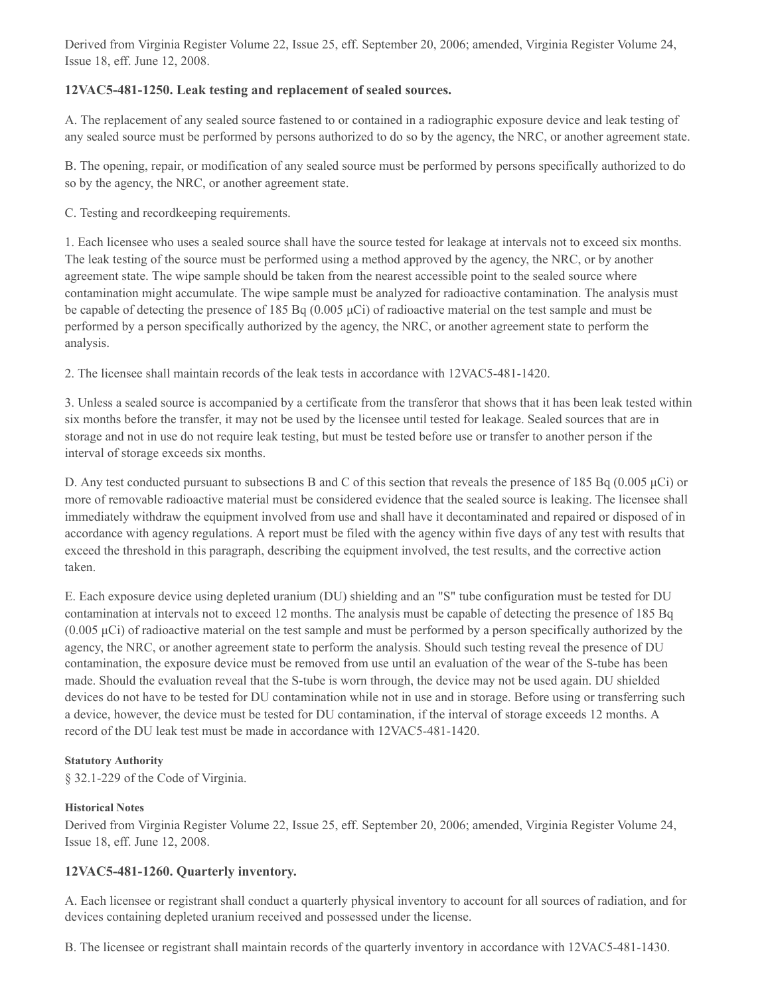Derived from Virginia Register Volume 22, Issue 25, eff. September 20, 2006; amended, Virginia Register Volume 24, Issue 18, eff. June 12, 2008.

## **12VAC5-481-1250. Leak testing and replacement of sealed sources.**

A. The replacement of any sealed source fastened to or contained in a radiographic exposure device and leak testing of any sealed source must be performed by persons authorized to do so by the agency, the NRC, or another agreement state.

B. The opening, repair, or modification of any sealed source must be performed by persons specifically authorized to do so by the agency, the NRC, or another agreement state.

C. Testing and recordkeeping requirements.

1. Each licensee who uses a sealed source shall have the source tested for leakage at intervals not to exceed six months. The leak testing of the source must be performed using a method approved by the agency, the NRC, or by another agreement state. The wipe sample should be taken from the nearest accessible point to the sealed source where contamination might accumulate. The wipe sample must be analyzed for radioactive contamination. The analysis must be capable of detecting the presence of 185 Bq (0.005 μCi) of radioactive material on the test sample and must be performed by a person specifically authorized by the agency, the NRC, or another agreement state to perform the analysis.

2. The licensee shall maintain records of the leak tests in accordance with 12VAC5-481-1420.

3. Unless a sealed source is accompanied by a certificate from the transferor that shows that it has been leak tested within six months before the transfer, it may not be used by the licensee until tested for leakage. Sealed sources that are in storage and not in use do not require leak testing, but must be tested before use or transfer to another person if the interval of storage exceeds six months.

D. Any test conducted pursuant to subsections B and C of this section that reveals the presence of 185 Bq (0.005 μCi) or more of removable radioactive material must be considered evidence that the sealed source is leaking. The licensee shall immediately withdraw the equipment involved from use and shall have it decontaminated and repaired or disposed of in accordance with agency regulations. A report must be filed with the agency within five days of any test with results that exceed the threshold in this paragraph, describing the equipment involved, the test results, and the corrective action taken.

E. Each exposure device using depleted uranium (DU) shielding and an "S" tube configuration must be tested for DU contamination at intervals not to exceed 12 months. The analysis must be capable of detecting the presence of 185 Bq  $(0.005 \mu\text{Ci})$  of radioactive material on the test sample and must be performed by a person specifically authorized by the agency, the NRC, or another agreement state to perform the analysis. Should such testing reveal the presence of DU contamination, the exposure device must be removed from use until an evaluation of the wear of the S-tube has been made. Should the evaluation reveal that the S-tube is worn through, the device may not be used again. DU shielded devices do not have to be tested for DU contamination while not in use and in storage. Before using or transferring such a device, however, the device must be tested for DU contamination, if the interval of storage exceeds 12 months. A record of the DU leak test must be made in accordance with 12VAC5-481-1420.

#### **Statutory Authority**

§ 32.1-229 of the Code of Virginia.

## **Historical Notes**

Derived from Virginia Register Volume 22, Issue 25, eff. September 20, 2006; amended, Virginia Register Volume 24, Issue 18, eff. June 12, 2008.

## **12VAC5-481-1260. Quarterly inventory.**

A. Each licensee or registrant shall conduct a quarterly physical inventory to account for all sources of radiation, and for devices containing depleted uranium received and possessed under the license.

B. The licensee or registrant shall maintain records of the quarterly inventory in accordance with 12VAC5-481-1430.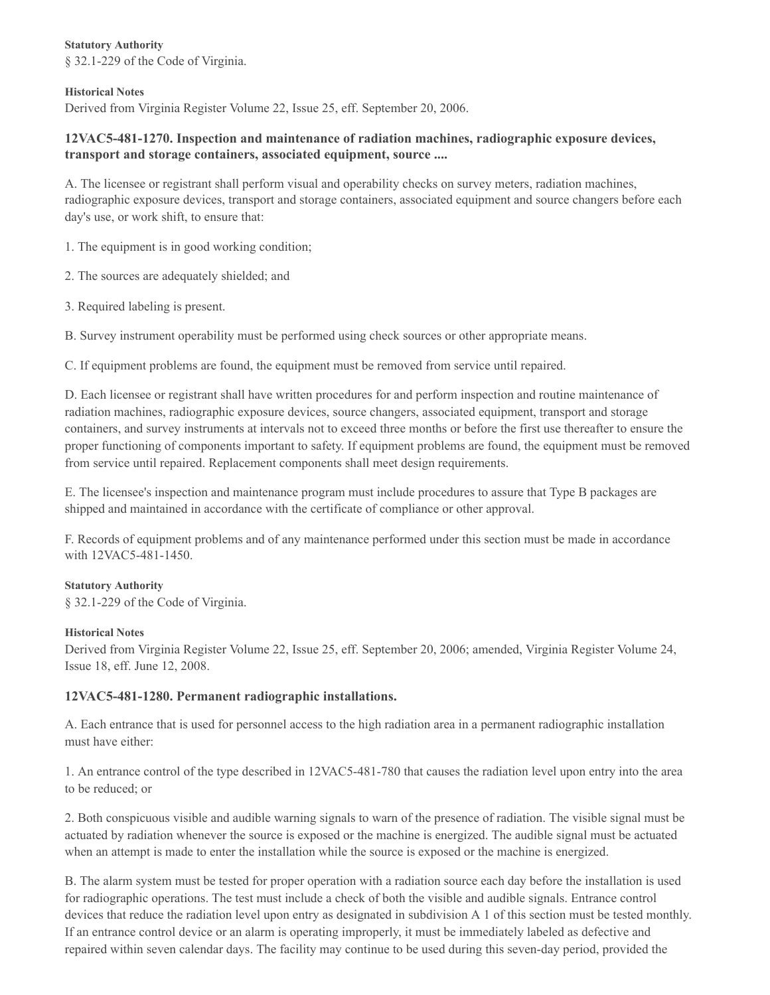**Statutory Authority** § 32.1-229 of the Code of Virginia.

#### **Historical Notes**

Derived from Virginia Register Volume 22, Issue 25, eff. September 20, 2006.

## **12VAC5-481-1270. Inspection and maintenance of radiation machines, radiographic exposure devices, transport and storage containers, associated equipment, source ....**

A. The licensee or registrant shall perform visual and operability checks on survey meters, radiation machines, radiographic exposure devices, transport and storage containers, associated equipment and source changers before each day's use, or work shift, to ensure that:

1. The equipment is in good working condition;

2. The sources are adequately shielded; and

3. Required labeling is present.

B. Survey instrument operability must be performed using check sources or other appropriate means.

C. If equipment problems are found, the equipment must be removed from service until repaired.

D. Each licensee or registrant shall have written procedures for and perform inspection and routine maintenance of radiation machines, radiographic exposure devices, source changers, associated equipment, transport and storage containers, and survey instruments at intervals not to exceed three months or before the first use thereafter to ensure the proper functioning of components important to safety. If equipment problems are found, the equipment must be removed from service until repaired. Replacement components shall meet design requirements.

E. The licensee's inspection and maintenance program must include procedures to assure that Type B packages are shipped and maintained in accordance with the certificate of compliance or other approval.

F. Records of equipment problems and of any maintenance performed under this section must be made in accordance with 12VAC5-481-1450.

#### **Statutory Authority**

§ 32.1-229 of the Code of Virginia.

#### **Historical Notes**

Derived from Virginia Register Volume 22, Issue 25, eff. September 20, 2006; amended, Virginia Register Volume 24, Issue 18, eff. June 12, 2008.

#### **12VAC5-481-1280. Permanent radiographic installations.**

A. Each entrance that is used for personnel access to the high radiation area in a permanent radiographic installation must have either:

1. An entrance control of the type described in 12VAC5-481-780 that causes the radiation level upon entry into the area to be reduced; or

2. Both conspicuous visible and audible warning signals to warn of the presence of radiation. The visible signal must be actuated by radiation whenever the source is exposed or the machine is energized. The audible signal must be actuated when an attempt is made to enter the installation while the source is exposed or the machine is energized.

B. The alarm system must be tested for proper operation with a radiation source each day before the installation is used for radiographic operations. The test must include a check of both the visible and audible signals. Entrance control devices that reduce the radiation level upon entry as designated in subdivision A 1 of this section must be tested monthly. If an entrance control device or an alarm is operating improperly, it must be immediately labeled as defective and repaired within seven calendar days. The facility may continue to be used during this seven-day period, provided the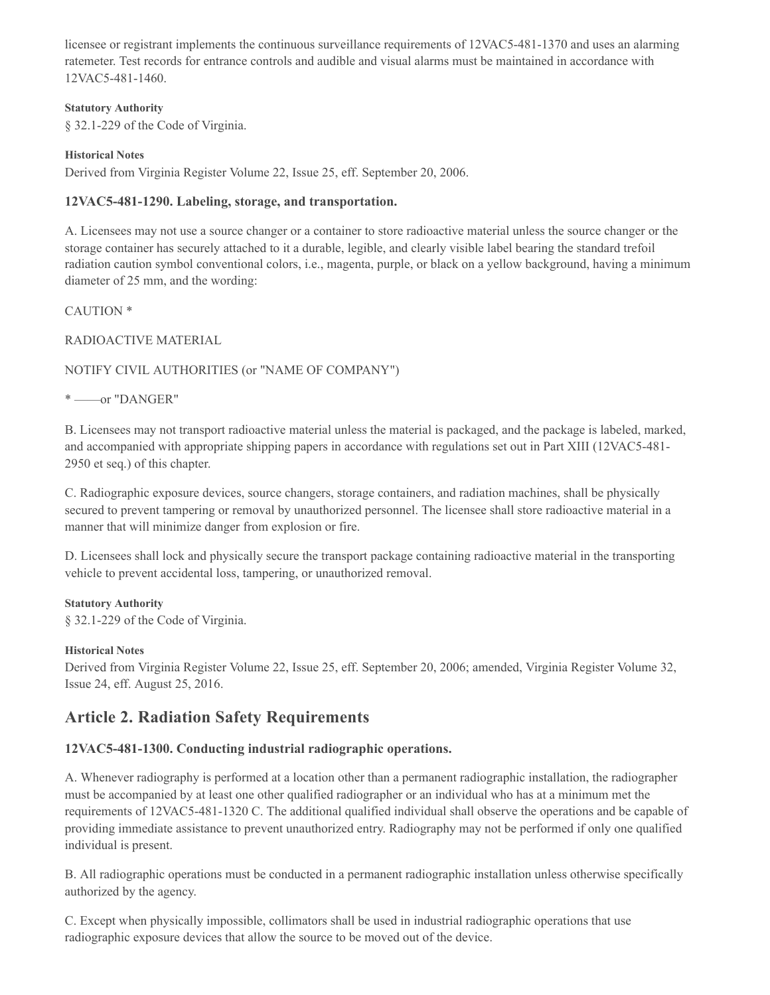licensee or registrant implements the continuous surveillance requirements of 12VAC5-481-1370 and uses an alarming ratemeter. Test records for entrance controls and audible and visual alarms must be maintained in accordance with 12VAC5-481-1460.

#### **Statutory Authority**

§ 32.1-229 of the Code of Virginia.

#### **Historical Notes**

Derived from Virginia Register Volume 22, Issue 25, eff. September 20, 2006.

## **12VAC5-481-1290. Labeling, storage, and transportation.**

A. Licensees may not use a source changer or a container to store radioactive material unless the source changer or the storage container has securely attached to it a durable, legible, and clearly visible label bearing the standard trefoil radiation caution symbol conventional colors, i.e., magenta, purple, or black on a yellow background, having a minimum diameter of 25 mm, and the wording:

## CAUTION \*

## RADIOACTIVE MATERIAL

## NOTIFY CIVIL AUTHORITIES (or "NAME OF COMPANY")

\* ——or "DANGER"

B. Licensees may not transport radioactive material unless the material is packaged, and the package is labeled, marked, and accompanied with appropriate shipping papers in accordance with regulations set out in Part XIII (12VAC5-481- 2950 et seq.) of this chapter.

C. Radiographic exposure devices, source changers, storage containers, and radiation machines, shall be physically secured to prevent tampering or removal by unauthorized personnel. The licensee shall store radioactive material in a manner that will minimize danger from explosion or fire.

D. Licensees shall lock and physically secure the transport package containing radioactive material in the transporting vehicle to prevent accidental loss, tampering, or unauthorized removal.

#### **Statutory Authority**

§ 32.1-229 of the Code of Virginia.

## **Historical Notes**

Derived from Virginia Register Volume 22, Issue 25, eff. September 20, 2006; amended, Virginia Register Volume 32, Issue 24, eff. August 25, 2016.

## **Article 2. Radiation Safety Requirements**

## **12VAC5-481-1300. Conducting industrial radiographic operations.**

A. Whenever radiography is performed at a location other than a permanent radiographic installation, the radiographer must be accompanied by at least one other qualified radiographer or an individual who has at a minimum met the requirements of 12VAC5-481-1320 C. The additional qualified individual shall observe the operations and be capable of providing immediate assistance to prevent unauthorized entry. Radiography may not be performed if only one qualified individual is present.

B. All radiographic operations must be conducted in a permanent radiographic installation unless otherwise specifically authorized by the agency.

C. Except when physically impossible, collimators shall be used in industrial radiographic operations that use radiographic exposure devices that allow the source to be moved out of the device.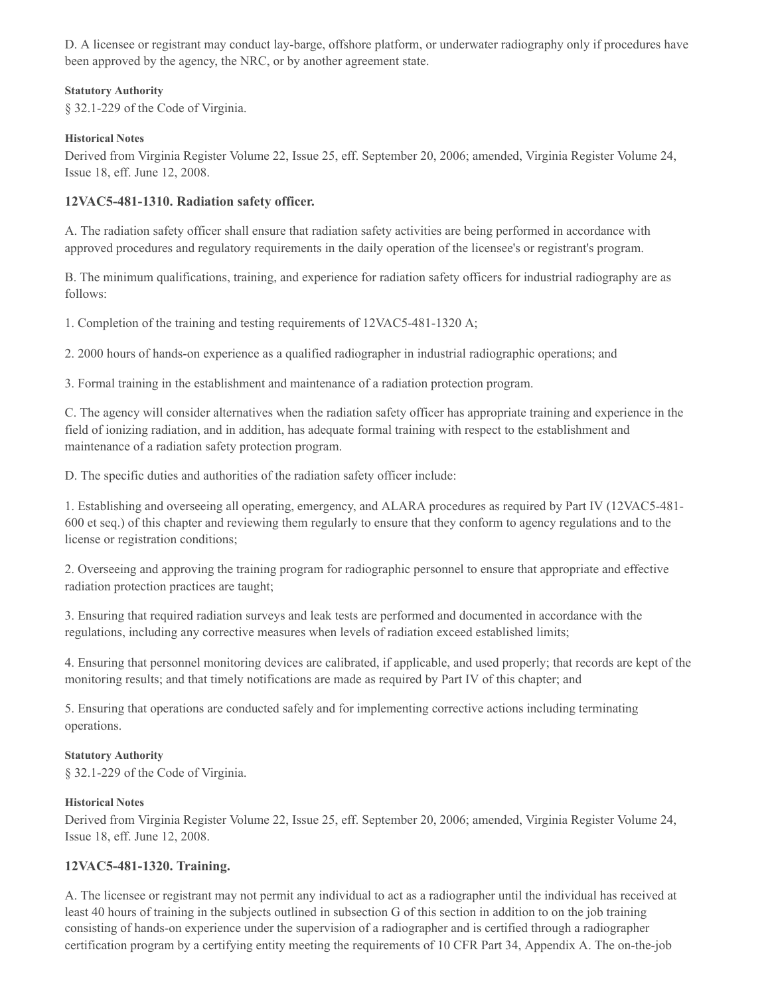D. A licensee or registrant may conduct lay-barge, offshore platform, or underwater radiography only if procedures have been approved by the agency, the NRC, or by another agreement state.

#### **Statutory Authority**

§ 32.1-229 of the Code of Virginia.

#### **Historical Notes**

Derived from Virginia Register Volume 22, Issue 25, eff. September 20, 2006; amended, Virginia Register Volume 24, Issue 18, eff. June 12, 2008.

## **12VAC5-481-1310. Radiation safety officer.**

A. The radiation safety officer shall ensure that radiation safety activities are being performed in accordance with approved procedures and regulatory requirements in the daily operation of the licensee's or registrant's program.

B. The minimum qualifications, training, and experience for radiation safety officers for industrial radiography are as follows:

1. Completion of the training and testing requirements of 12VAC5-481-1320 A;

2. 2000 hours of hands-on experience as a qualified radiographer in industrial radiographic operations; and

3. Formal training in the establishment and maintenance of a radiation protection program.

C. The agency will consider alternatives when the radiation safety officer has appropriate training and experience in the field of ionizing radiation, and in addition, has adequate formal training with respect to the establishment and maintenance of a radiation safety protection program.

D. The specific duties and authorities of the radiation safety officer include:

1. Establishing and overseeing all operating, emergency, and ALARA procedures as required by Part IV (12VAC5-481- 600 et seq.) of this chapter and reviewing them regularly to ensure that they conform to agency regulations and to the license or registration conditions;

2. Overseeing and approving the training program for radiographic personnel to ensure that appropriate and effective radiation protection practices are taught;

3. Ensuring that required radiation surveys and leak tests are performed and documented in accordance with the regulations, including any corrective measures when levels of radiation exceed established limits;

4. Ensuring that personnel monitoring devices are calibrated, if applicable, and used properly; that records are kept of the monitoring results; and that timely notifications are made as required by Part IV of this chapter; and

5. Ensuring that operations are conducted safely and for implementing corrective actions including terminating operations.

#### **Statutory Authority**

§ 32.1-229 of the Code of Virginia.

#### **Historical Notes**

Derived from Virginia Register Volume 22, Issue 25, eff. September 20, 2006; amended, Virginia Register Volume 24, Issue 18, eff. June 12, 2008.

## **12VAC5-481-1320. Training.**

A. The licensee or registrant may not permit any individual to act as a radiographer until the individual has received at least 40 hours of training in the subjects outlined in subsection G of this section in addition to on the job training consisting of hands-on experience under the supervision of a radiographer and is certified through a radiographer certification program by a certifying entity meeting the requirements of 10 CFR Part 34, Appendix A. The on-the-job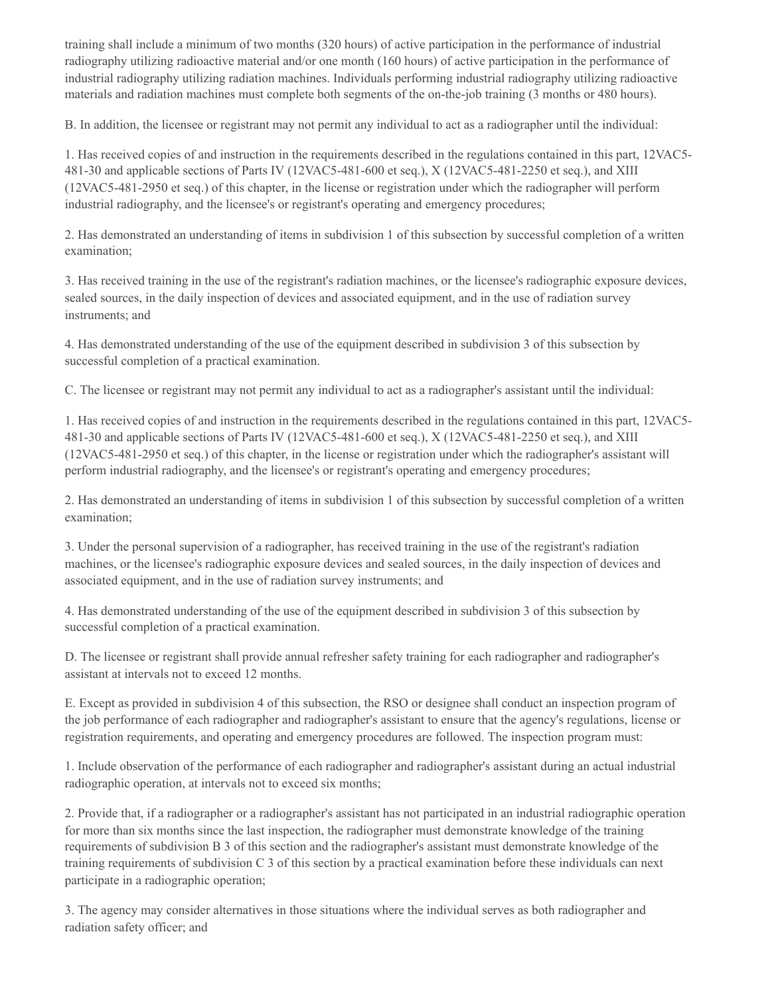training shall include a minimum of two months (320 hours) of active participation in the performance of industrial radiography utilizing radioactive material and/or one month (160 hours) of active participation in the performance of industrial radiography utilizing radiation machines. Individuals performing industrial radiography utilizing radioactive materials and radiation machines must complete both segments of the on-the-job training (3 months or 480 hours).

B. In addition, the licensee or registrant may not permit any individual to act as a radiographer until the individual:

1. Has received copies of and instruction in the requirements described in the regulations contained in this part, 12VAC5- 481-30 and applicable sections of Parts IV (12VAC5-481-600 et seq.), X (12VAC5-481-2250 et seq.), and XIII (12VAC5-481-2950 et seq.) of this chapter, in the license or registration under which the radiographer will perform industrial radiography, and the licensee's or registrant's operating and emergency procedures;

2. Has demonstrated an understanding of items in subdivision 1 of this subsection by successful completion of a written examination;

3. Has received training in the use of the registrant's radiation machines, or the licensee's radiographic exposure devices, sealed sources, in the daily inspection of devices and associated equipment, and in the use of radiation survey instruments; and

4. Has demonstrated understanding of the use of the equipment described in subdivision 3 of this subsection by successful completion of a practical examination.

C. The licensee or registrant may not permit any individual to act as a radiographer's assistant until the individual:

1. Has received copies of and instruction in the requirements described in the regulations contained in this part, 12VAC5- 481-30 and applicable sections of Parts IV (12VAC5-481-600 et seq.), X (12VAC5-481-2250 et seq.), and XIII (12VAC5-481-2950 et seq.) of this chapter, in the license or registration under which the radiographer's assistant will perform industrial radiography, and the licensee's or registrant's operating and emergency procedures;

2. Has demonstrated an understanding of items in subdivision 1 of this subsection by successful completion of a written examination;

3. Under the personal supervision of a radiographer, has received training in the use of the registrant's radiation machines, or the licensee's radiographic exposure devices and sealed sources, in the daily inspection of devices and associated equipment, and in the use of radiation survey instruments; and

4. Has demonstrated understanding of the use of the equipment described in subdivision 3 of this subsection by successful completion of a practical examination.

D. The licensee or registrant shall provide annual refresher safety training for each radiographer and radiographer's assistant at intervals not to exceed 12 months.

E. Except as provided in subdivision 4 of this subsection, the RSO or designee shall conduct an inspection program of the job performance of each radiographer and radiographer's assistant to ensure that the agency's regulations, license or registration requirements, and operating and emergency procedures are followed. The inspection program must:

1. Include observation of the performance of each radiographer and radiographer's assistant during an actual industrial radiographic operation, at intervals not to exceed six months;

2. Provide that, if a radiographer or a radiographer's assistant has not participated in an industrial radiographic operation for more than six months since the last inspection, the radiographer must demonstrate knowledge of the training requirements of subdivision B 3 of this section and the radiographer's assistant must demonstrate knowledge of the training requirements of subdivision C 3 of this section by a practical examination before these individuals can next participate in a radiographic operation;

3. The agency may consider alternatives in those situations where the individual serves as both radiographer and radiation safety officer; and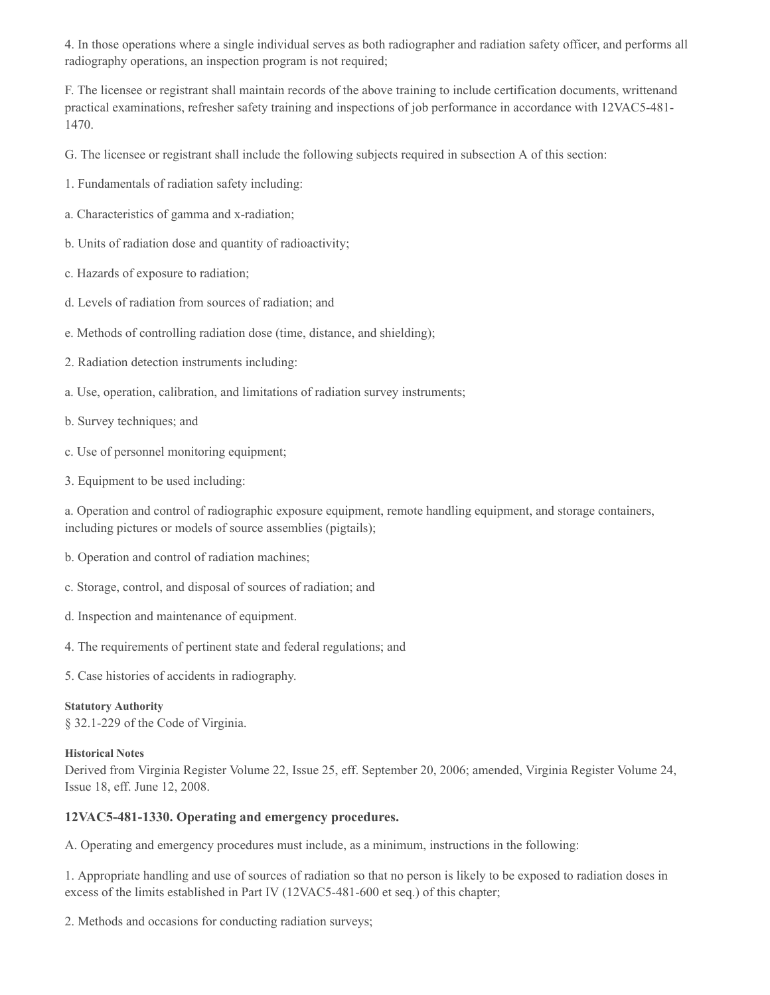4. In those operations where a single individual serves as both radiographer and radiation safety officer, and performs all radiography operations, an inspection program is not required;

F. The licensee or registrant shall maintain records of the above training to include certification documents, writtenand practical examinations, refresher safety training and inspections of job performance in accordance with 12VAC5-481- 1470.

G. The licensee or registrant shall include the following subjects required in subsection A of this section:

1. Fundamentals of radiation safety including:

- a. Characteristics of gamma and x-radiation;
- b. Units of radiation dose and quantity of radioactivity;
- c. Hazards of exposure to radiation;
- d. Levels of radiation from sources of radiation; and
- e. Methods of controlling radiation dose (time, distance, and shielding);
- 2. Radiation detection instruments including:
- a. Use, operation, calibration, and limitations of radiation survey instruments;
- b. Survey techniques; and
- c. Use of personnel monitoring equipment;
- 3. Equipment to be used including:

a. Operation and control of radiographic exposure equipment, remote handling equipment, and storage containers, including pictures or models of source assemblies (pigtails);

- b. Operation and control of radiation machines;
- c. Storage, control, and disposal of sources of radiation; and
- d. Inspection and maintenance of equipment.
- 4. The requirements of pertinent state and federal regulations; and
- 5. Case histories of accidents in radiography.

**Statutory Authority** § 32.1-229 of the Code of Virginia.

#### **Historical Notes**

Derived from Virginia Register Volume 22, Issue 25, eff. September 20, 2006; amended, Virginia Register Volume 24, Issue 18, eff. June 12, 2008.

#### **12VAC5-481-1330. Operating and emergency procedures.**

A. Operating and emergency procedures must include, as a minimum, instructions in the following:

1. Appropriate handling and use of sources of radiation so that no person is likely to be exposed to radiation doses in excess of the limits established in Part IV (12VAC5-481-600 et seq.) of this chapter;

2. Methods and occasions for conducting radiation surveys;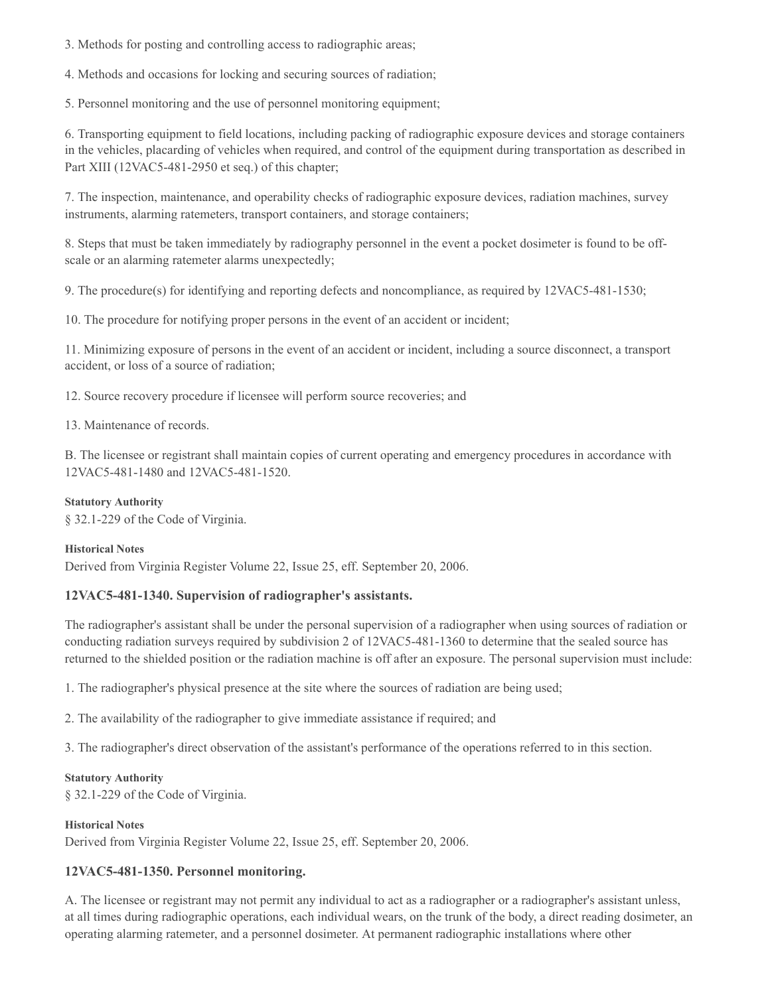3. Methods for posting and controlling access to radiographic areas;

4. Methods and occasions for locking and securing sources of radiation;

5. Personnel monitoring and the use of personnel monitoring equipment;

6. Transporting equipment to field locations, including packing of radiographic exposure devices and storage containers in the vehicles, placarding of vehicles when required, and control of the equipment during transportation as described in Part XIII (12VAC5-481-2950 et seq.) of this chapter;

7. The inspection, maintenance, and operability checks of radiographic exposure devices, radiation machines, survey instruments, alarming ratemeters, transport containers, and storage containers;

8. Steps that must be taken immediately by radiography personnel in the event a pocket dosimeter is found to be offscale or an alarming ratemeter alarms unexpectedly;

9. The procedure(s) for identifying and reporting defects and noncompliance, as required by 12VAC5-481-1530;

10. The procedure for notifying proper persons in the event of an accident or incident;

11. Minimizing exposure of persons in the event of an accident or incident, including a source disconnect, a transport accident, or loss of a source of radiation;

12. Source recovery procedure if licensee will perform source recoveries; and

13. Maintenance of records.

B. The licensee or registrant shall maintain copies of current operating and emergency procedures in accordance with 12VAC5-481-1480 and 12VAC5-481-1520.

#### **Statutory Authority**

§ 32.1-229 of the Code of Virginia.

#### **Historical Notes**

Derived from Virginia Register Volume 22, Issue 25, eff. September 20, 2006.

## **12VAC5-481-1340. Supervision of radiographer's assistants.**

The radiographer's assistant shall be under the personal supervision of a radiographer when using sources of radiation or conducting radiation surveys required by subdivision 2 of 12VAC5-481-1360 to determine that the sealed source has returned to the shielded position or the radiation machine is off after an exposure. The personal supervision must include:

1. The radiographer's physical presence at the site where the sources of radiation are being used;

2. The availability of the radiographer to give immediate assistance if required; and

3. The radiographer's direct observation of the assistant's performance of the operations referred to in this section.

#### **Statutory Authority**

§ 32.1-229 of the Code of Virginia.

#### **Historical Notes**

Derived from Virginia Register Volume 22, Issue 25, eff. September 20, 2006.

## **12VAC5-481-1350. Personnel monitoring.**

A. The licensee or registrant may not permit any individual to act as a radiographer or a radiographer's assistant unless, at all times during radiographic operations, each individual wears, on the trunk of the body, a direct reading dosimeter, an operating alarming ratemeter, and a personnel dosimeter. At permanent radiographic installations where other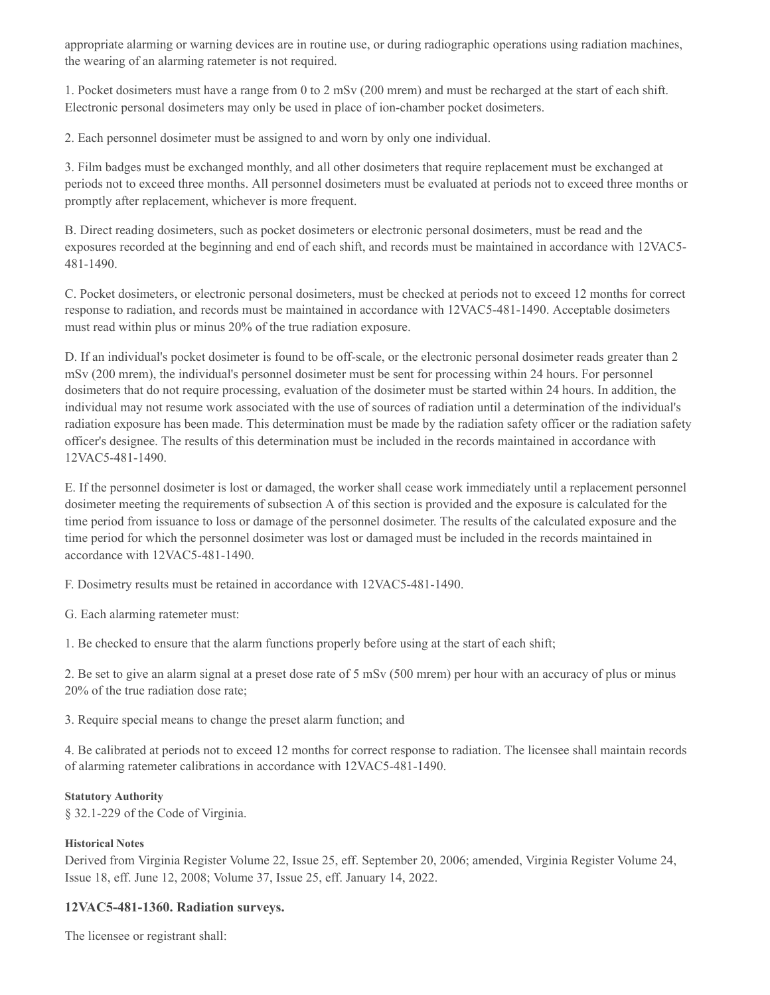appropriate alarming or warning devices are in routine use, or during radiographic operations using radiation machines, the wearing of an alarming ratemeter is not required.

1. Pocket dosimeters must have a range from 0 to 2 mSv (200 mrem) and must be recharged at the start of each shift. Electronic personal dosimeters may only be used in place of ion-chamber pocket dosimeters.

2. Each personnel dosimeter must be assigned to and worn by only one individual.

3. Film badges must be exchanged monthly, and all other dosimeters that require replacement must be exchanged at periods not to exceed three months. All personnel dosimeters must be evaluated at periods not to exceed three months or promptly after replacement, whichever is more frequent.

B. Direct reading dosimeters, such as pocket dosimeters or electronic personal dosimeters, must be read and the exposures recorded at the beginning and end of each shift, and records must be maintained in accordance with 12VAC5- 481-1490.

C. Pocket dosimeters, or electronic personal dosimeters, must be checked at periods not to exceed 12 months for correct response to radiation, and records must be maintained in accordance with 12VAC5-481-1490. Acceptable dosimeters must read within plus or minus 20% of the true radiation exposure.

D. If an individual's pocket dosimeter is found to be off-scale, or the electronic personal dosimeter reads greater than 2 mSv (200 mrem), the individual's personnel dosimeter must be sent for processing within 24 hours. For personnel dosimeters that do not require processing, evaluation of the dosimeter must be started within 24 hours. In addition, the individual may not resume work associated with the use of sources of radiation until a determination of the individual's radiation exposure has been made. This determination must be made by the radiation safety officer or the radiation safety officer's designee. The results of this determination must be included in the records maintained in accordance with 12VAC5-481-1490.

E. If the personnel dosimeter is lost or damaged, the worker shall cease work immediately until a replacement personnel dosimeter meeting the requirements of subsection A of this section is provided and the exposure is calculated for the time period from issuance to loss or damage of the personnel dosimeter. The results of the calculated exposure and the time period for which the personnel dosimeter was lost or damaged must be included in the records maintained in accordance with 12VAC5-481-1490.

F. Dosimetry results must be retained in accordance with 12VAC5-481-1490.

G. Each alarming ratemeter must:

1. Be checked to ensure that the alarm functions properly before using at the start of each shift;

2. Be set to give an alarm signal at a preset dose rate of 5 mSv (500 mrem) per hour with an accuracy of plus or minus 20% of the true radiation dose rate;

3. Require special means to change the preset alarm function; and

4. Be calibrated at periods not to exceed 12 months for correct response to radiation. The licensee shall maintain records of alarming ratemeter calibrations in accordance with 12VAC5-481-1490.

## **Statutory Authority**

§ 32.1-229 of the Code of Virginia.

## **Historical Notes**

Derived from Virginia Register Volume 22, Issue 25, eff. September 20, 2006; amended, Virginia Register Volume 24, Issue 18, eff. June 12, 2008; Volume 37, Issue 25, eff. January 14, 2022.

## **12VAC5-481-1360. Radiation surveys.**

The licensee or registrant shall: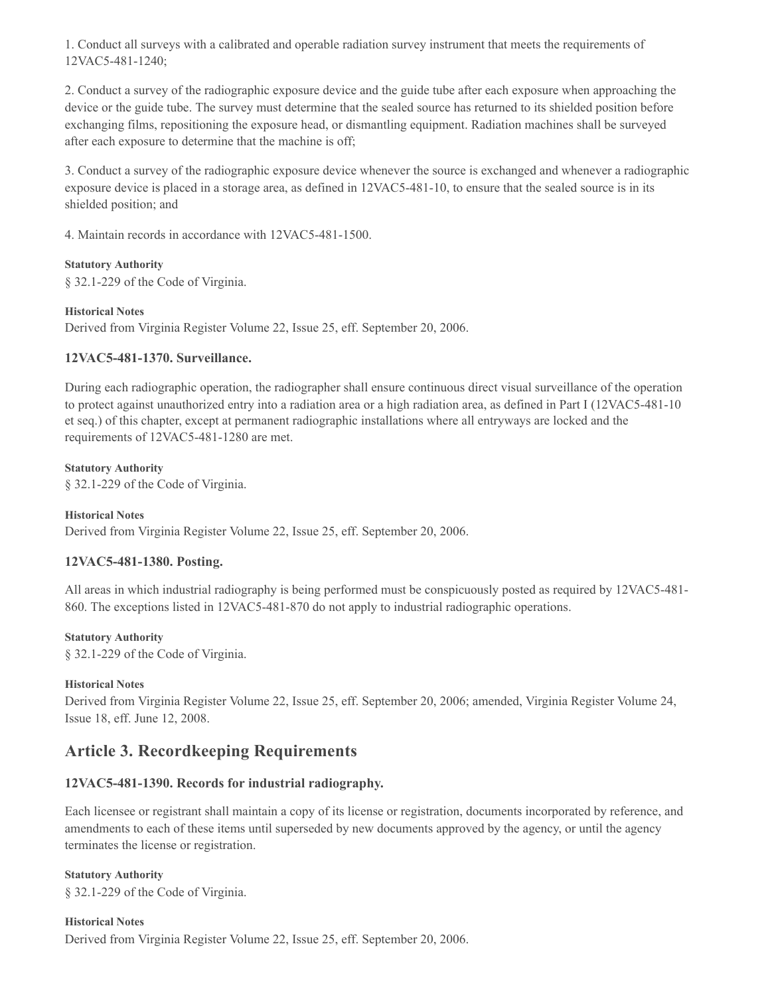1. Conduct all surveys with a calibrated and operable radiation survey instrument that meets the requirements of 12VAC5-481-1240;

2. Conduct a survey of the radiographic exposure device and the guide tube after each exposure when approaching the device or the guide tube. The survey must determine that the sealed source has returned to its shielded position before exchanging films, repositioning the exposure head, or dismantling equipment. Radiation machines shall be surveyed after each exposure to determine that the machine is off;

3. Conduct a survey of the radiographic exposure device whenever the source is exchanged and whenever a radiographic exposure device is placed in a storage area, as defined in 12VAC5-481-10, to ensure that the sealed source is in its shielded position; and

4. Maintain records in accordance with 12VAC5-481-1500.

#### **Statutory Authority**

§ 32.1-229 of the Code of Virginia.

#### **Historical Notes**

Derived from Virginia Register Volume 22, Issue 25, eff. September 20, 2006.

## **12VAC5-481-1370. Surveillance.**

During each radiographic operation, the radiographer shall ensure continuous direct visual surveillance of the operation to protect against unauthorized entry into a radiation area or a high radiation area, as defined in Part I (12VAC5-481-10 et seq.) of this chapter, except at permanent radiographic installations where all entryways are locked and the requirements of 12VAC5-481-1280 are met.

#### **Statutory Authority**

§ 32.1-229 of the Code of Virginia.

#### **Historical Notes**

Derived from Virginia Register Volume 22, Issue 25, eff. September 20, 2006.

## **12VAC5-481-1380. Posting.**

All areas in which industrial radiography is being performed must be conspicuously posted as required by 12VAC5-481- 860. The exceptions listed in 12VAC5-481-870 do not apply to industrial radiographic operations.

#### **Statutory Authority**

§ 32.1-229 of the Code of Virginia.

#### **Historical Notes**

Derived from Virginia Register Volume 22, Issue 25, eff. September 20, 2006; amended, Virginia Register Volume 24, Issue 18, eff. June 12, 2008.

## **Article 3. Recordkeeping Requirements**

## **12VAC5-481-1390. Records for industrial radiography.**

Each licensee or registrant shall maintain a copy of its license or registration, documents incorporated by reference, and amendments to each of these items until superseded by new documents approved by the agency, or until the agency terminates the license or registration.

#### **Statutory Authority**

§ 32.1-229 of the Code of Virginia.

## **Historical Notes** Derived from Virginia Register Volume 22, Issue 25, eff. September 20, 2006.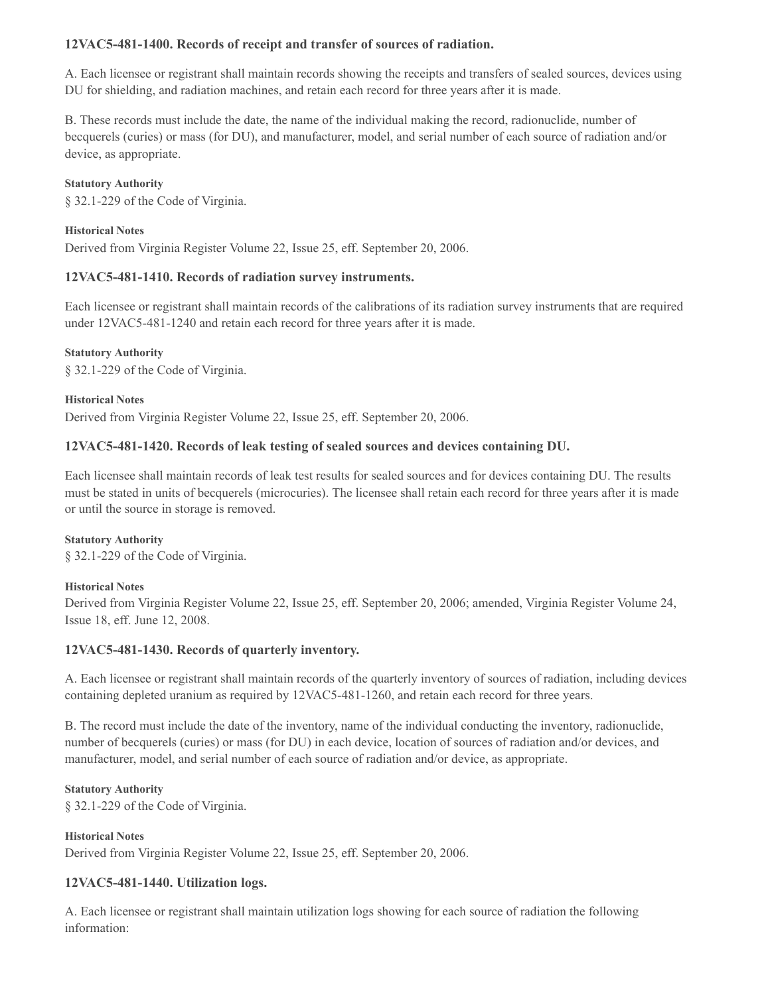## **12VAC5-481-1400. Records of receipt and transfer of sources of radiation.**

A. Each licensee or registrant shall maintain records showing the receipts and transfers of sealed sources, devices using DU for shielding, and radiation machines, and retain each record for three years after it is made.

B. These records must include the date, the name of the individual making the record, radionuclide, number of becquerels (curies) or mass (for DU), and manufacturer, model, and serial number of each source of radiation and/or device, as appropriate.

#### **Statutory Authority**

§ 32.1-229 of the Code of Virginia.

#### **Historical Notes**

Derived from Virginia Register Volume 22, Issue 25, eff. September 20, 2006.

## **12VAC5-481-1410. Records of radiation survey instruments.**

Each licensee or registrant shall maintain records of the calibrations of its radiation survey instruments that are required under 12VAC5-481-1240 and retain each record for three years after it is made.

#### **Statutory Authority**

§ 32.1-229 of the Code of Virginia.

**Historical Notes** Derived from Virginia Register Volume 22, Issue 25, eff. September 20, 2006.

## **12VAC5-481-1420. Records of leak testing of sealed sources and devices containing DU.**

Each licensee shall maintain records of leak test results for sealed sources and for devices containing DU. The results must be stated in units of becquerels (microcuries). The licensee shall retain each record for three years after it is made or until the source in storage is removed.

# **Statutory Authority**

§ 32.1-229 of the Code of Virginia.

## **Historical Notes**

Derived from Virginia Register Volume 22, Issue 25, eff. September 20, 2006; amended, Virginia Register Volume 24, Issue 18, eff. June 12, 2008.

## **12VAC5-481-1430. Records of quarterly inventory.**

A. Each licensee or registrant shall maintain records of the quarterly inventory of sources of radiation, including devices containing depleted uranium as required by 12VAC5-481-1260, and retain each record for three years.

B. The record must include the date of the inventory, name of the individual conducting the inventory, radionuclide, number of becquerels (curies) or mass (for DU) in each device, location of sources of radiation and/or devices, and manufacturer, model, and serial number of each source of radiation and/or device, as appropriate.

#### **Statutory Authority**

§ 32.1-229 of the Code of Virginia.

## **Historical Notes**

Derived from Virginia Register Volume 22, Issue 25, eff. September 20, 2006.

## **12VAC5-481-1440. Utilization logs.**

A. Each licensee or registrant shall maintain utilization logs showing for each source of radiation the following information: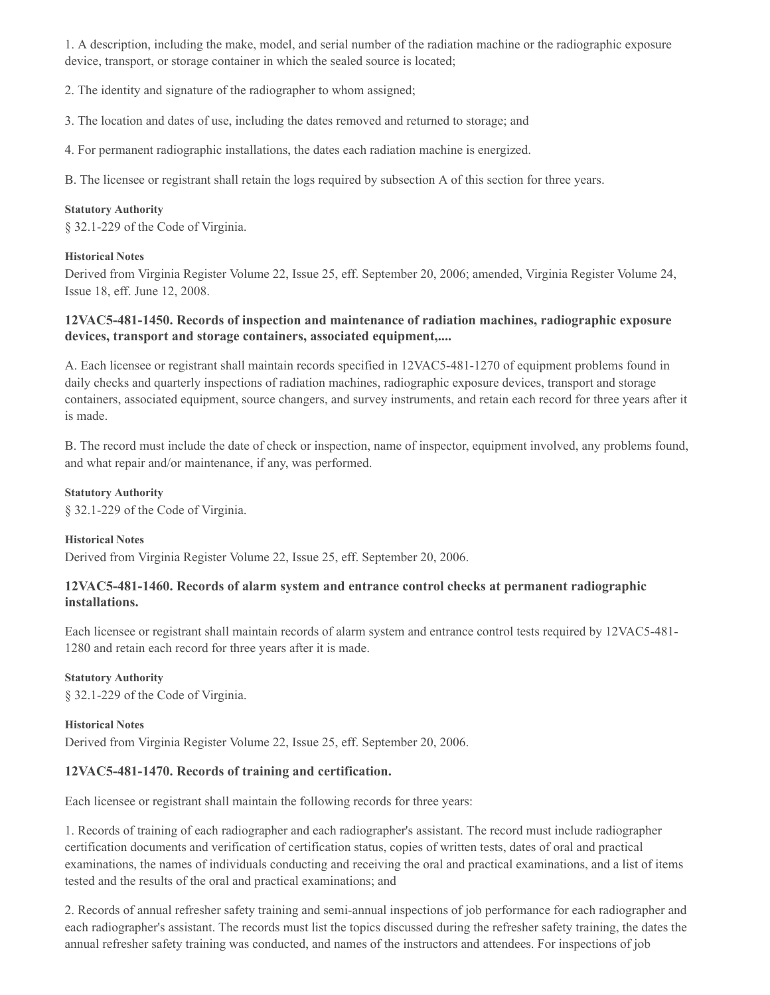1. A description, including the make, model, and serial number of the radiation machine or the radiographic exposure device, transport, or storage container in which the sealed source is located;

2. The identity and signature of the radiographer to whom assigned;

3. The location and dates of use, including the dates removed and returned to storage; and

4. For permanent radiographic installations, the dates each radiation machine is energized.

B. The licensee or registrant shall retain the logs required by subsection A of this section for three years.

#### **Statutory Authority**

§ 32.1-229 of the Code of Virginia.

#### **Historical Notes**

Derived from Virginia Register Volume 22, Issue 25, eff. September 20, 2006; amended, Virginia Register Volume 24, Issue 18, eff. June 12, 2008.

## **12VAC5-481-1450. Records of inspection and maintenance of radiation machines, radiographic exposure devices, transport and storage containers, associated equipment,....**

A. Each licensee or registrant shall maintain records specified in 12VAC5-481-1270 of equipment problems found in daily checks and quarterly inspections of radiation machines, radiographic exposure devices, transport and storage containers, associated equipment, source changers, and survey instruments, and retain each record for three years after it is made.

B. The record must include the date of check or inspection, name of inspector, equipment involved, any problems found, and what repair and/or maintenance, if any, was performed.

#### **Statutory Authority**

§ 32.1-229 of the Code of Virginia.

#### **Historical Notes**

Derived from Virginia Register Volume 22, Issue 25, eff. September 20, 2006.

## **12VAC5-481-1460. Records of alarm system and entrance control checks at permanent radiographic installations.**

Each licensee or registrant shall maintain records of alarm system and entrance control tests required by 12VAC5-481- 1280 and retain each record for three years after it is made.

#### **Statutory Authority**

§ 32.1-229 of the Code of Virginia.

#### **Historical Notes**

Derived from Virginia Register Volume 22, Issue 25, eff. September 20, 2006.

#### **12VAC5-481-1470. Records of training and certification.**

Each licensee or registrant shall maintain the following records for three years:

1. Records of training of each radiographer and each radiographer's assistant. The record must include radiographer certification documents and verification of certification status, copies of written tests, dates of oral and practical examinations, the names of individuals conducting and receiving the oral and practical examinations, and a list of items tested and the results of the oral and practical examinations; and

2. Records of annual refresher safety training and semi-annual inspections of job performance for each radiographer and each radiographer's assistant. The records must list the topics discussed during the refresher safety training, the dates the annual refresher safety training was conducted, and names of the instructors and attendees. For inspections of job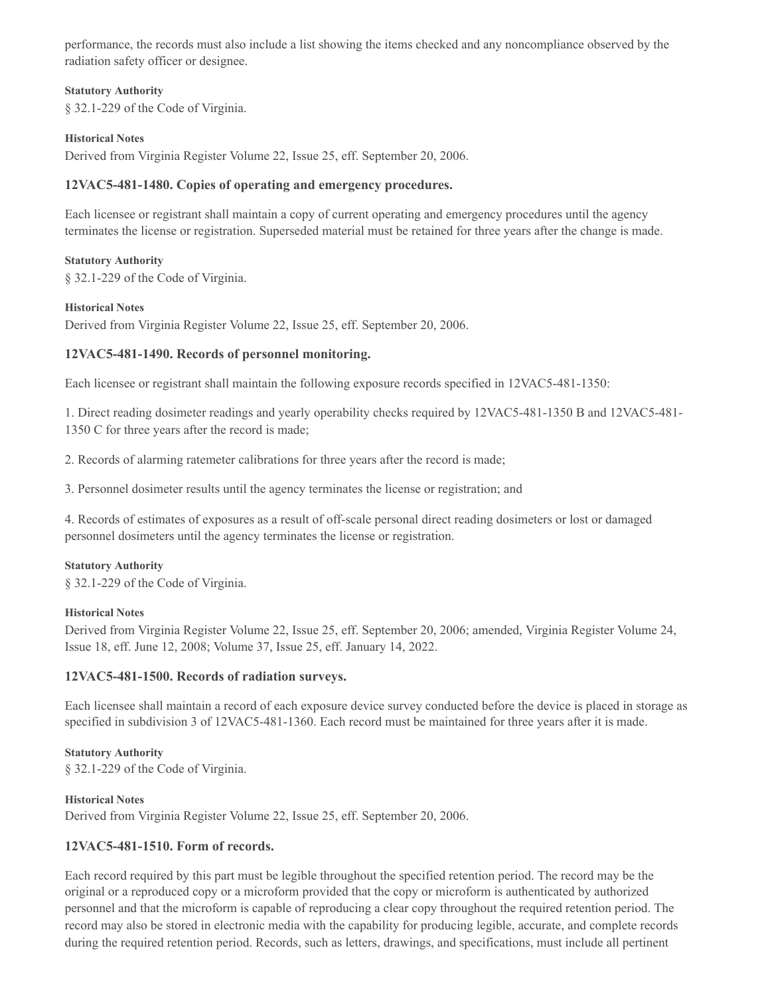performance, the records must also include a list showing the items checked and any noncompliance observed by the radiation safety officer or designee.

#### **Statutory Authority**

§ 32.1-229 of the Code of Virginia.

#### **Historical Notes**

Derived from Virginia Register Volume 22, Issue 25, eff. September 20, 2006.

### **12VAC5-481-1480. Copies of operating and emergency procedures.**

Each licensee or registrant shall maintain a copy of current operating and emergency procedures until the agency terminates the license or registration. Superseded material must be retained for three years after the change is made.

#### **Statutory Authority**

§ 32.1-229 of the Code of Virginia.

#### **Historical Notes**

Derived from Virginia Register Volume 22, Issue 25, eff. September 20, 2006.

## **12VAC5-481-1490. Records of personnel monitoring.**

Each licensee or registrant shall maintain the following exposure records specified in 12VAC5-481-1350:

1. Direct reading dosimeter readings and yearly operability checks required by 12VAC5-481-1350 B and 12VAC5-481- 1350 C for three years after the record is made;

2. Records of alarming ratemeter calibrations for three years after the record is made;

3. Personnel dosimeter results until the agency terminates the license or registration; and

4. Records of estimates of exposures as a result of off-scale personal direct reading dosimeters or lost or damaged personnel dosimeters until the agency terminates the license or registration.

#### **Statutory Authority**

§ 32.1-229 of the Code of Virginia.

#### **Historical Notes**

Derived from Virginia Register Volume 22, Issue 25, eff. September 20, 2006; amended, Virginia Register Volume 24, Issue 18, eff. June 12, 2008; Volume 37, Issue 25, eff. January 14, 2022.

## **12VAC5-481-1500. Records of radiation surveys.**

Each licensee shall maintain a record of each exposure device survey conducted before the device is placed in storage as specified in subdivision 3 of 12VAC5-481-1360. Each record must be maintained for three years after it is made.

## **Statutory Authority**

§ 32.1-229 of the Code of Virginia.

#### **Historical Notes**

Derived from Virginia Register Volume 22, Issue 25, eff. September 20, 2006.

## **12VAC5-481-1510. Form of records.**

Each record required by this part must be legible throughout the specified retention period. The record may be the original or a reproduced copy or a microform provided that the copy or microform is authenticated by authorized personnel and that the microform is capable of reproducing a clear copy throughout the required retention period. The record may also be stored in electronic media with the capability for producing legible, accurate, and complete records during the required retention period. Records, such as letters, drawings, and specifications, must include all pertinent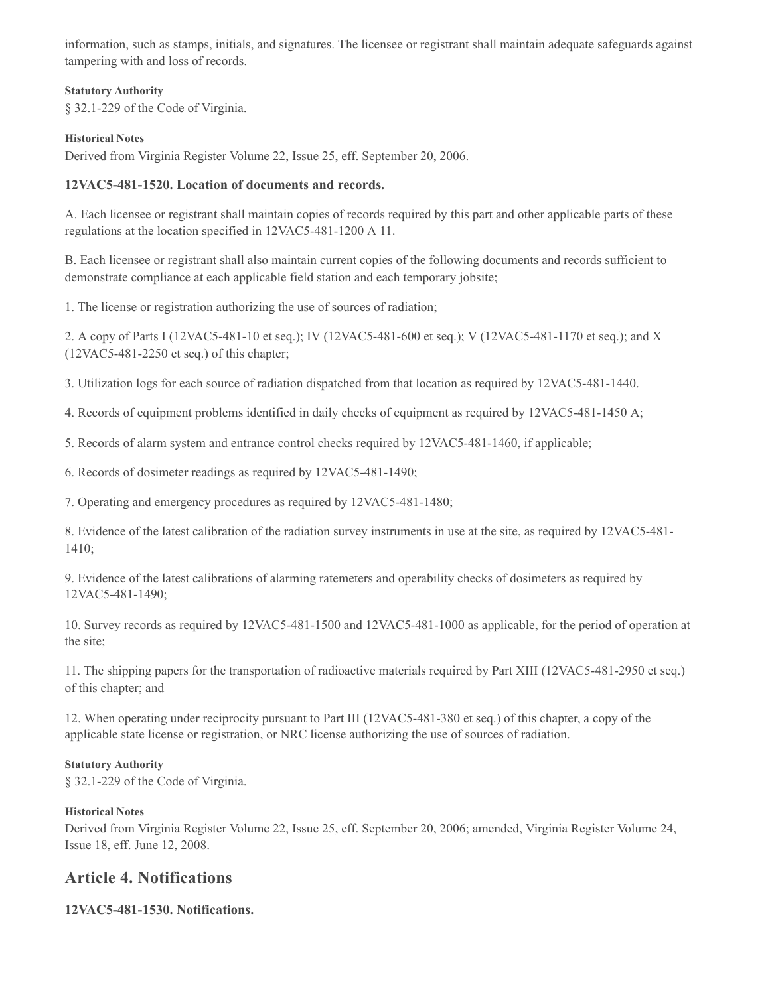information, such as stamps, initials, and signatures. The licensee or registrant shall maintain adequate safeguards against tampering with and loss of records.

#### **Statutory Authority**

§ 32.1-229 of the Code of Virginia.

#### **Historical Notes**

Derived from Virginia Register Volume 22, Issue 25, eff. September 20, 2006.

### **12VAC5-481-1520. Location of documents and records.**

A. Each licensee or registrant shall maintain copies of records required by this part and other applicable parts of these regulations at the location specified in 12VAC5-481-1200 A 11.

B. Each licensee or registrant shall also maintain current copies of the following documents and records sufficient to demonstrate compliance at each applicable field station and each temporary jobsite;

1. The license or registration authorizing the use of sources of radiation;

2. A copy of Parts I (12VAC5-481-10 et seq.); IV (12VAC5-481-600 et seq.); V (12VAC5-481-1170 et seq.); and X (12VAC5-481-2250 et seq.) of this chapter;

3. Utilization logs for each source of radiation dispatched from that location as required by 12VAC5-481-1440.

4. Records of equipment problems identified in daily checks of equipment as required by 12VAC5-481-1450 A;

5. Records of alarm system and entrance control checks required by 12VAC5-481-1460, if applicable;

6. Records of dosimeter readings as required by 12VAC5-481-1490;

7. Operating and emergency procedures as required by 12VAC5-481-1480;

8. Evidence of the latest calibration of the radiation survey instruments in use at the site, as required by 12VAC5-481- 1410;

9. Evidence of the latest calibrations of alarming ratemeters and operability checks of dosimeters as required by 12VAC5-481-1490;

10. Survey records as required by 12VAC5-481-1500 and 12VAC5-481-1000 as applicable, for the period of operation at the site;

11. The shipping papers for the transportation of radioactive materials required by Part XIII (12VAC5-481-2950 et seq.) of this chapter; and

12. When operating under reciprocity pursuant to Part III (12VAC5-481-380 et seq.) of this chapter, a copy of the applicable state license or registration, or NRC license authorizing the use of sources of radiation.

#### **Statutory Authority**

§ 32.1-229 of the Code of Virginia.

#### **Historical Notes**

Derived from Virginia Register Volume 22, Issue 25, eff. September 20, 2006; amended, Virginia Register Volume 24, Issue 18, eff. June 12, 2008.

## **Article 4. Notifications**

## **12VAC5-481-1530. Notifications.**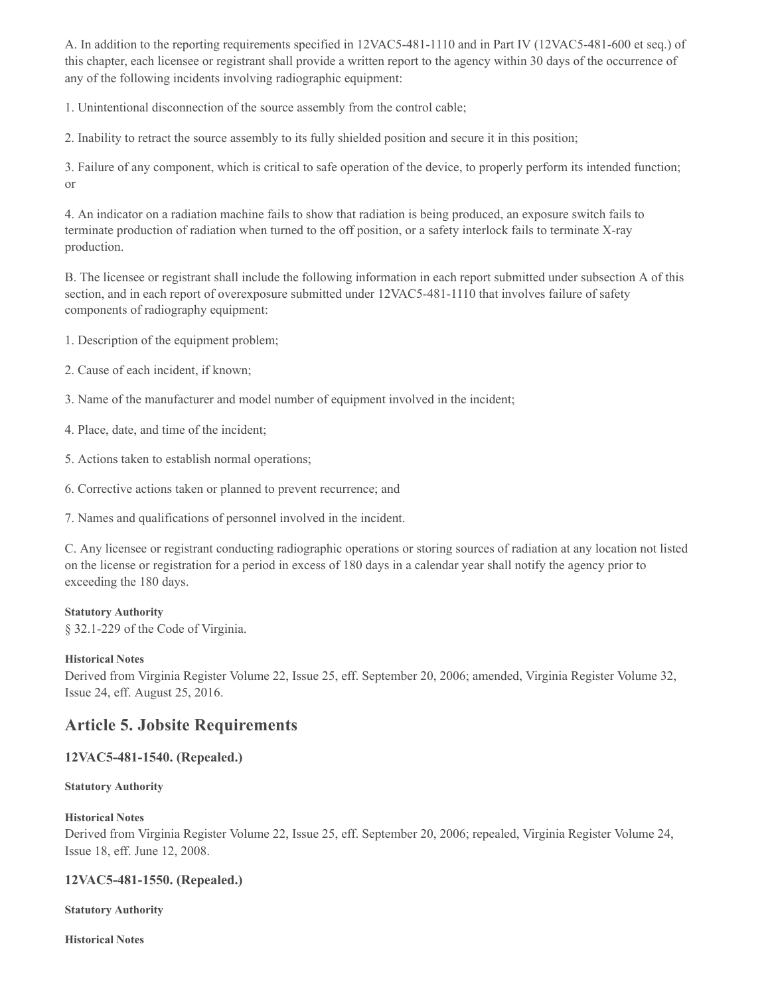A. In addition to the reporting requirements specified in 12VAC5-481-1110 and in Part IV (12VAC5-481-600 et seq.) of this chapter, each licensee or registrant shall provide a written report to the agency within 30 days of the occurrence of any of the following incidents involving radiographic equipment:

1. Unintentional disconnection of the source assembly from the control cable;

2. Inability to retract the source assembly to its fully shielded position and secure it in this position;

3. Failure of any component, which is critical to safe operation of the device, to properly perform its intended function; or

4. An indicator on a radiation machine fails to show that radiation is being produced, an exposure switch fails to terminate production of radiation when turned to the off position, or a safety interlock fails to terminate X-ray production.

B. The licensee or registrant shall include the following information in each report submitted under subsection A of this section, and in each report of overexposure submitted under 12VAC5-481-1110 that involves failure of safety components of radiography equipment:

1. Description of the equipment problem;

- 2. Cause of each incident, if known;
- 3. Name of the manufacturer and model number of equipment involved in the incident;
- 4. Place, date, and time of the incident;
- 5. Actions taken to establish normal operations;
- 6. Corrective actions taken or planned to prevent recurrence; and
- 7. Names and qualifications of personnel involved in the incident.

C. Any licensee or registrant conducting radiographic operations or storing sources of radiation at any location not listed on the license or registration for a period in excess of 180 days in a calendar year shall notify the agency prior to exceeding the 180 days.

## **Statutory Authority**

§ 32.1-229 of the Code of Virginia.

## **Historical Notes**

Derived from Virginia Register Volume 22, Issue 25, eff. September 20, 2006; amended, Virginia Register Volume 32, Issue 24, eff. August 25, 2016.

## **Article 5. Jobsite Requirements**

## **12VAC5-481-1540. (Repealed.)**

## **Statutory Authority**

## **Historical Notes**

Derived from Virginia Register Volume 22, Issue 25, eff. September 20, 2006; repealed, Virginia Register Volume 24, Issue 18, eff. June 12, 2008.

## **12VAC5-481-1550. (Repealed.)**

**Statutory Authority**

**Historical Notes**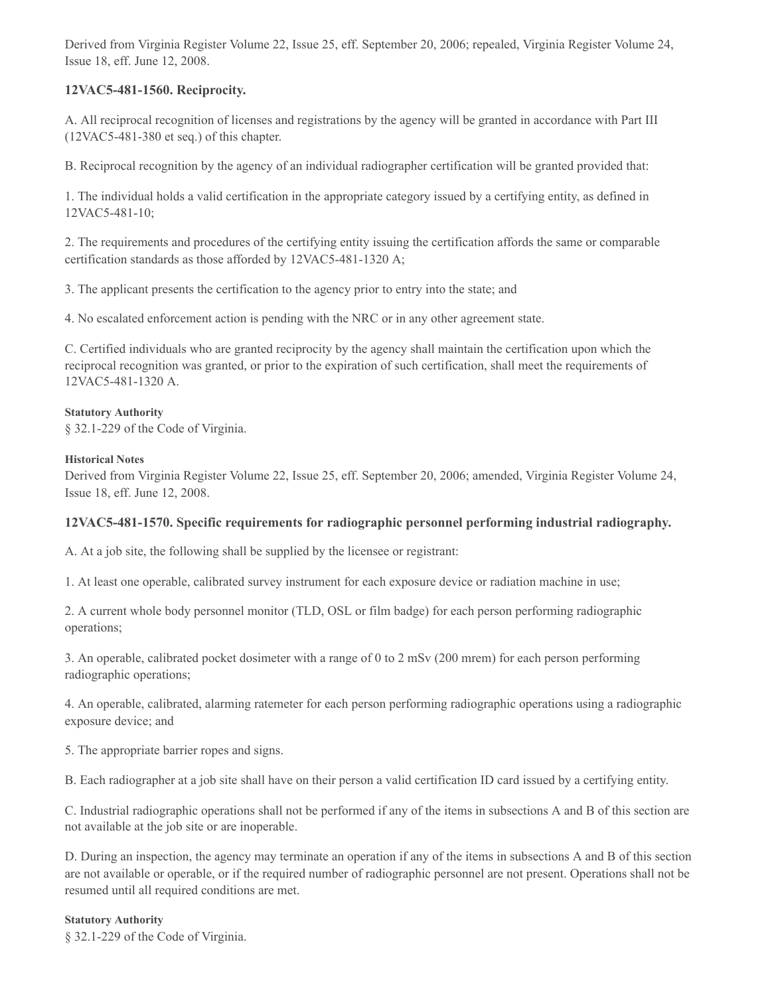Derived from Virginia Register Volume 22, Issue 25, eff. September 20, 2006; repealed, Virginia Register Volume 24, Issue 18, eff. June 12, 2008.

## **12VAC5-481-1560. Reciprocity.**

A. All reciprocal recognition of licenses and registrations by the agency will be granted in accordance with Part III (12VAC5-481-380 et seq.) of this chapter.

B. Reciprocal recognition by the agency of an individual radiographer certification will be granted provided that:

1. The individual holds a valid certification in the appropriate category issued by a certifying entity, as defined in 12VAC5-481-10;

2. The requirements and procedures of the certifying entity issuing the certification affords the same or comparable certification standards as those afforded by 12VAC5-481-1320 A;

3. The applicant presents the certification to the agency prior to entry into the state; and

4. No escalated enforcement action is pending with the NRC or in any other agreement state.

C. Certified individuals who are granted reciprocity by the agency shall maintain the certification upon which the reciprocal recognition was granted, or prior to the expiration of such certification, shall meet the requirements of 12VAC5-481-1320 A.

#### **Statutory Authority**

§ 32.1-229 of the Code of Virginia.

#### **Historical Notes**

Derived from Virginia Register Volume 22, Issue 25, eff. September 20, 2006; amended, Virginia Register Volume 24, Issue 18, eff. June 12, 2008.

## **12VAC5-481-1570. Specific requirements for radiographic personnel performing industrial radiography.**

A. At a job site, the following shall be supplied by the licensee or registrant:

1. At least one operable, calibrated survey instrument for each exposure device or radiation machine in use;

2. A current whole body personnel monitor (TLD, OSL or film badge) for each person performing radiographic operations;

3. An operable, calibrated pocket dosimeter with a range of 0 to 2 mSv (200 mrem) for each person performing radiographic operations;

4. An operable, calibrated, alarming ratemeter for each person performing radiographic operations using a radiographic exposure device; and

5. The appropriate barrier ropes and signs.

B. Each radiographer at a job site shall have on their person a valid certification ID card issued by a certifying entity.

C. Industrial radiographic operations shall not be performed if any of the items in subsections A and B of this section are not available at the job site or are inoperable.

D. During an inspection, the agency may terminate an operation if any of the items in subsections A and B of this section are not available or operable, or if the required number of radiographic personnel are not present. Operations shall not be resumed until all required conditions are met.

#### **Statutory Authority**

§ 32.1-229 of the Code of Virginia.